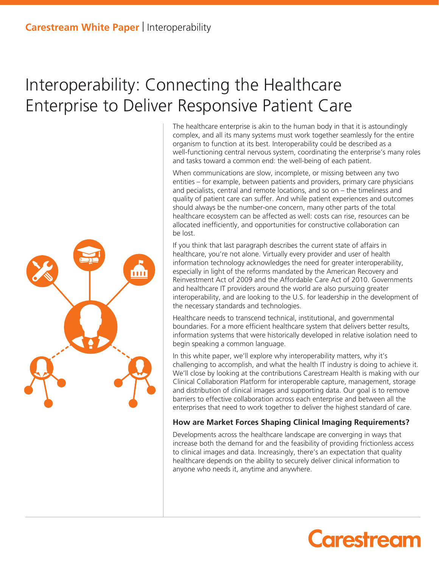### Interoperability: Connecting the Healthcare Enterprise to Deliver Responsive Patient Care

The healthcare enterprise is akin to the human body in that it is astoundingly complex, and all its many systems must work together seamlessly for the entire organism to function at its best. Interoperability could be described as a well-functioning central nervous system, coordinating the enterprise's many roles and tasks toward a common end: the well-being of each patient.

When communications are slow, incomplete, or missing between any two entities – for example, between patients and providers, primary care physicians and pecialists, central and remote locations, and so on – the timeliness and quality of patient care can suffer. And while patient experiences and outcomes should always be the number-one concern, many other parts of the total healthcare ecosystem can be affected as well: costs can rise, resources can be allocated inefficiently, and opportunities for constructive collaboration can be lost.

If you think that last paragraph describes the current state of affairs in healthcare, you're not alone. Virtually every provider and user of health information technology acknowledges the need for greater interoperability, especially in light of the reforms mandated by the American Recovery and Reinvestment Act of 2009 and the Affordable Care Act of 2010. Governments and healthcare IT providers around the world are also pursuing greater interoperability, and are looking to the U.S. for leadership in the development of the necessary standards and technologies.

Healthcare needs to transcend technical, institutional, and governmental boundaries. For a more efficient healthcare system that delivers better results, information systems that were historically developed in relative isolation need to begin speaking a common language.

In this white paper, we'll explore why interoperability matters, why it's challenging to accomplish, and what the health IT industry is doing to achieve it. We'll close by looking at the contributions Carestream Health is making with our Clinical Collaboration Platform for interoperable capture, management, storage and distribution of clinical images and supporting data. Our goal is to remove barriers to effective collaboration across each enterprise and between all the enterprises that need to work together to deliver the highest standard of care.

#### **How are Market Forces Shaping Clinical Imaging Requirements?**

Developments across the healthcare landscape are converging in ways that increase both the demand for and the feasibility of providing frictionless access to clinical images and data. Increasingly, there's an expectation that quality healthcare depends on the ability to securely deliver clinical information to anyone who needs it, anytime and anywhere.



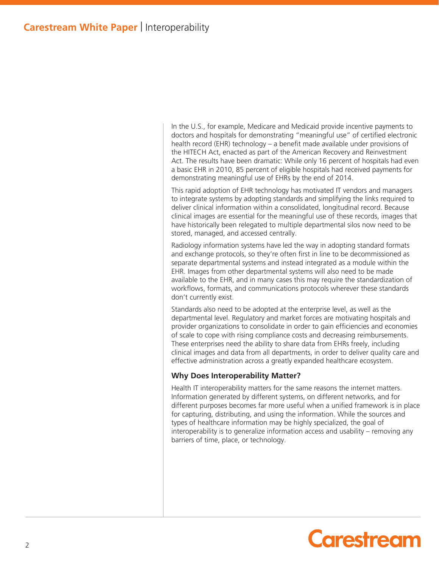In the U.S., for example, Medicare and Medicaid provide incentive payments to doctors and hospitals for demonstrating "meaningful use" of certified electronic health record (EHR) technology – a benefit made available under provisions of the HITECH Act, enacted as part of the American Recovery and Reinvestment Act. The results have been dramatic: While only 16 percent of hospitals had even a basic EHR in 2010, 85 percent of eligible hospitals had received payments for demonstrating meaningful use of EHRs by the end of 2014.

This rapid adoption of EHR technology has motivated IT vendors and managers to integrate systems by adopting standards and simplifying the links required to deliver clinical information within a consolidated, longitudinal record. Because clinical images are essential for the meaningful use of these records, images that have historically been relegated to multiple departmental silos now need to be stored, managed, and accessed centrally.

Radiology information systems have led the way in adopting standard formats and exchange protocols, so they're often first in line to be decommissioned as separate departmental systems and instead integrated as a module within the EHR. Images from other departmental systems will also need to be made available to the EHR, and in many cases this may require the standardization of workflows, formats, and communications protocols wherever these standards don't currently exist.

Standards also need to be adopted at the enterprise level, as well as the departmental level. Regulatory and market forces are motivating hospitals and provider organizations to consolidate in order to gain efficiencies and economies of scale to cope with rising compliance costs and decreasing reimbursements. These enterprises need the ability to share data from EHRs freely, including clinical images and data from all departments, in order to deliver quality care and effective administration across a greatly expanded healthcare ecosystem.

#### **Why Does Interoperability Matter?**

Health IT interoperability matters for the same reasons the internet matters. Information generated by different systems, on different networks, and for different purposes becomes far more useful when a unified framework is in place for capturing, distributing, and using the information. While the sources and types of healthcare information may be highly specialized, the goal of interoperability is to generalize information access and usability – removing any barriers of time, place, or technology.

## **Carestream**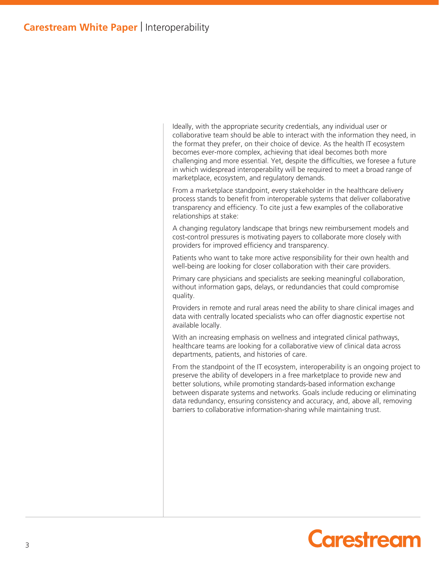Ideally, with the appropriate security credentials, any individual user or collaborative team should be able to interact with the information they need, in the format they prefer, on their choice of device. As the health IT ecosystem becomes ever-more complex, achieving that ideal becomes both more challenging and more essential. Yet, despite the difficulties, we foresee a future in which widespread interoperability will be required to meet a broad range of marketplace, ecosystem, and regulatory demands.

From a marketplace standpoint, every stakeholder in the healthcare delivery process stands to benefit from interoperable systems that deliver collaborative transparency and efficiency. To cite just a few examples of the collaborative relationships at stake:

A changing regulatory landscape that brings new reimbursement models and cost-control pressures is motivating payers to collaborate more closely with providers for improved efficiency and transparency.

Patients who want to take more active responsibility for their own health and well-being are looking for closer collaboration with their care providers.

Primary care physicians and specialists are seeking meaningful collaboration, without information gaps, delays, or redundancies that could compromise quality.

Providers in remote and rural areas need the ability to share clinical images and data with centrally located specialists who can offer diagnostic expertise not available locally.

With an increasing emphasis on wellness and integrated clinical pathways, healthcare teams are looking for a collaborative view of clinical data across departments, patients, and histories of care.

From the standpoint of the IT ecosystem, interoperability is an ongoing project to preserve the ability of developers in a free marketplace to provide new and better solutions, while promoting standards-based information exchange between disparate systems and networks. Goals include reducing or eliminating data redundancy, ensuring consistency and accuracy, and, above all, removing barriers to collaborative information-sharing while maintaining trust.

## **Carestream**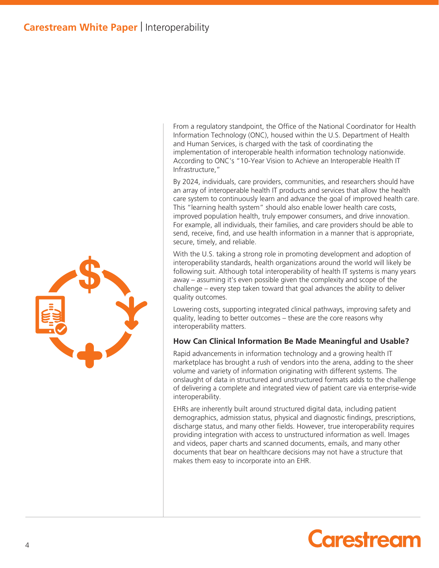

From a regulatory standpoint, the Office of the National Coordinator for Health Information Technology (ONC), housed within the U.S. Department of Health and Human Services, is charged with the task of coordinating the implementation of interoperable health information technology nationwide. According to ONC's "10-Year Vision to Achieve an Interoperable Health IT Infrastructure,"

By 2024, individuals, care providers, communities, and researchers should have an array of interoperable health IT products and services that allow the health care system to continuously learn and advance the goal of improved health care. This "learning health system" should also enable lower health care costs, improved population health, truly empower consumers, and drive innovation. For example, all individuals, their families, and care providers should be able to send, receive, find, and use health information in a manner that is appropriate, secure, timely, and reliable.

With the U.S. taking a strong role in promoting development and adoption of interoperability standards, health organizations around the world will likely be following suit. Although total interoperability of health IT systems is many years away – assuming it's even possible given the complexity and scope of the challenge – every step taken toward that goal advances the ability to deliver quality outcomes.

Lowering costs, supporting integrated clinical pathways, improving safety and quality, leading to better outcomes – these are the core reasons why interoperability matters.

#### **How Can Clinical Information Be Made Meaningful and Usable?**

Rapid advancements in information technology and a growing health IT marketplace has brought a rush of vendors into the arena, adding to the sheer volume and variety of information originating with different systems. The onslaught of data in structured and unstructured formats adds to the challenge of delivering a complete and integrated view of patient care via enterprise-wide interoperability.

EHRs are inherently built around structured digital data, including patient demographics, admission status, physical and diagnostic findings, prescriptions, discharge status, and many other fields. However, true interoperability requires providing integration with access to unstructured information as well. Images and videos, paper charts and scanned documents, emails, and many other documents that bear on healthcare decisions may not have a structure that makes them easy to incorporate into an EHR.

# Carestream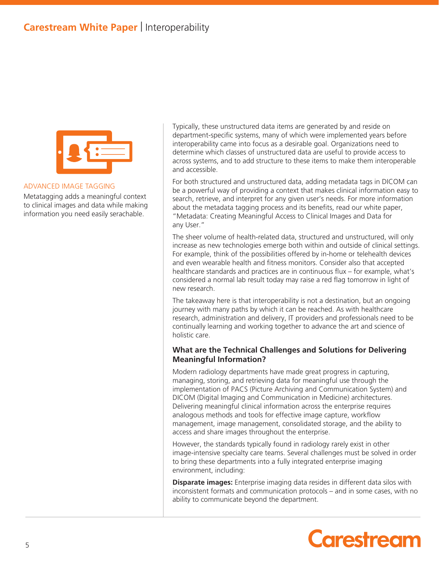### **Carestream White Paper** | Interoperability



#### ADVANCED IMAGE TAGGING

Metatagging adds a meaningful context to clinical images and data while making information you need easily serachable.

Typically, these unstructured data items are generated by and reside on department-specific systems, many of which were implemented years before interoperability came into focus as a desirable goal. Organizations need to determine which classes of unstructured data are useful to provide access to across systems, and to add structure to these items to make them interoperable and accessible.

For both structured and unstructured data, adding metadata tags in DICOM can be a powerful way of providing a context that makes clinical information easy to search, retrieve, and interpret for any given user's needs. For more information about the metadata tagging process and its benefits, read our white paper, "Metadata: Creating Meaningful Access to Clinical Images and Data for any User."

The sheer volume of health-related data, structured and unstructured, will only increase as new technologies emerge both within and outside of clinical settings. For example, think of the possibilities offered by in-home or telehealth devices and even wearable health and fitness monitors. Consider also that accepted healthcare standards and practices are in continuous flux – for example, what's considered a normal lab result today may raise a red flag tomorrow in light of new research.

The takeaway here is that interoperability is not a destination, but an ongoing journey with many paths by which it can be reached. As with healthcare research, administration and delivery, IT providers and professionals need to be continually learning and working together to advance the art and science of holistic care.

#### **What are the Technical Challenges and Solutions for Delivering Meaningful Information?**

Modern radiology departments have made great progress in capturing, managing, storing, and retrieving data for meaningful use through the implementation of PACS (Picture Archiving and Communication System) and DICOM (Digital Imaging and Communication in Medicine) architectures. Delivering meaningful clinical information across the enterprise requires analogous methods and tools for effective image capture, workflow management, image management, consolidated storage, and the ability to access and share images throughout the enterprise.

However, the standards typically found in radiology rarely exist in other image-intensive specialty care teams. Several challenges must be solved in order to bring these departments into a fully integrated enterprise imaging environment, including:

**Disparate images:** Enterprise imaging data resides in different data silos with inconsistent formats and communication protocols – and in some cases, with no ability to communicate beyond the department.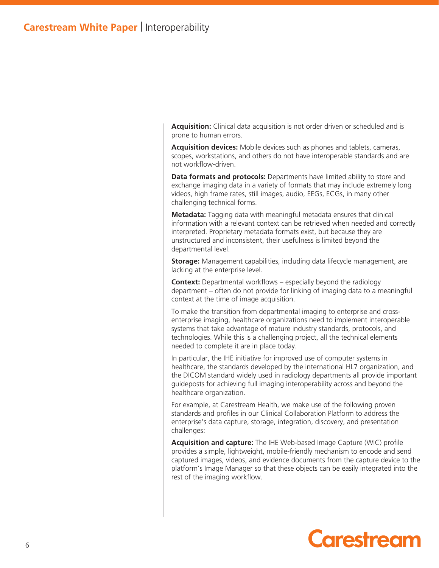**Acquisition:** Clinical data acquisition is not order driven or scheduled and is prone to human errors.

**Acquisition devices:** Mobile devices such as phones and tablets, cameras, scopes, workstations, and others do not have interoperable standards and are not workflow-driven.

**Data formats and protocols:** Departments have limited ability to store and exchange imaging data in a variety of formats that may include extremely long videos, high frame rates, still images, audio, EEGs, ECGs, in many other challenging technical forms.

**Metadata:** Tagging data with meaningful metadata ensures that clinical information with a relevant context can be retrieved when needed and correctly interpreted. Proprietary metadata formats exist, but because they are unstructured and inconsistent, their usefulness is limited beyond the departmental level.

**Storage:** Management capabilities, including data lifecycle management, are lacking at the enterprise level.

**Context:** Departmental workflows – especially beyond the radiology department – often do not provide for linking of imaging data to a meaningful context at the time of image acquisition.

To make the transition from departmental imaging to enterprise and crossenterprise imaging, healthcare organizations need to implement interoperable systems that take advantage of mature industry standards, protocols, and technologies. While this is a challenging project, all the technical elements needed to complete it are in place today.

In particular, the IHE initiative for improved use of computer systems in healthcare, the standards developed by the international HL7 organization, and the DICOM standard widely used in radiology departments all provide important guideposts for achieving full imaging interoperability across and beyond the healthcare organization.

For example, at Carestream Health, we make use of the following proven standards and profiles in our Clinical Collaboration Platform to address the enterprise's data capture, storage, integration, discovery, and presentation challenges:

Acquisition and capture: The IHE Web-based Image Capture (WIC) profile provides a simple, lightweight, mobile-friendly mechanism to encode and send captured images, videos, and evidence documents from the capture device to the platform's Image Manager so that these objects can be easily integrated into the rest of the imaging workflow.

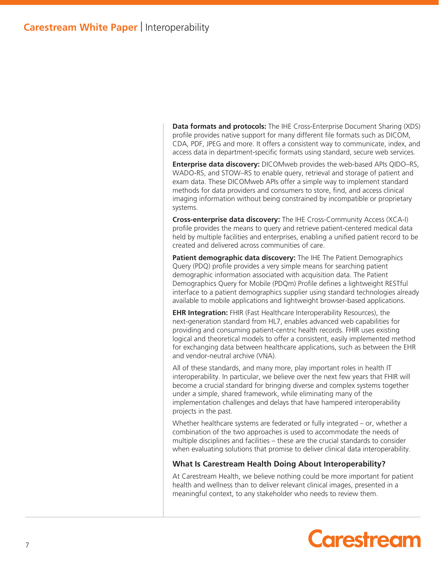**Data formats and protocols:** The IHE Cross-Enterprise Document Sharing (XDS) profile provides native support for many different file formats such as DICOM, CDA, PDF, JPEG and more. It offers a consistent way to communicate, index, and access data in department-specific formats using standard, secure web services.

**Enterprise data discovery:** DICOMweb provides the web-based APIs QIDO–RS, WADO-RS, and STOW–RS to enable query, retrieval and storage of patient and exam data. These DICOMweb APIs offer a simple way to implement standard methods for data providers and consumers to store, find, and access clinical imaging information without being constrained by incompatible or proprietary systems.

**Cross-enterprise data discovery:** The IHE Cross-Community Access (XCA-I) profile provides the means to query and retrieve patient-centered medical data held by multiple facilities and enterprises, enabling a unified patient record to be created and delivered across communities of care.

**Patient demographic data discovery:** The IHE The Patient Demographics Query (PDQ) profile provides a very simple means for searching patient demographic information associated with acquisition data. The Patient Demographics Query for Mobile (PDQm) Profile defines a lightweight RESTful interface to a patient demographics supplier using standard technologies already available to mobile applications and lightweight browser-based applications.

**EHR Integration:** FHIR (Fast Healthcare Interoperability Resources), the next-generation standard from HL7, enables advanced web capabilities for providing and consuming patient-centric health records. FHIR uses existing logical and theoretical models to offer a consistent, easily implemented method for exchanging data between healthcare applications, such as between the EHR and vendor-neutral archive (VNA).

All of these standards, and many more, play important roles in health IT interoperability. In particular, we believe over the next few years that FHIR will become a crucial standard for bringing diverse and complex systems together under a simple, shared framework, while eliminating many of the implementation challenges and delays that have hampered interoperability projects in the past.

Whether healthcare systems are federated or fully integrated – or, whether a combination of the two approaches is used to accommodate the needs of multiple disciplines and facilities – these are the crucial standards to consider when evaluating solutions that promise to deliver clinical data interoperability.

#### **What Is Carestream Health Doing About Interoperability?**

At Carestream Health, we believe nothing could be more important for patient health and wellness than to deliver relevant clinical images, presented in a meaningful context, to any stakeholder who needs to review them.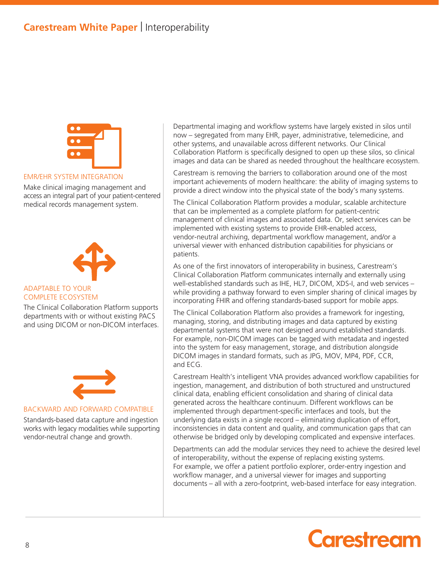

#### EMR/EHR SYSTEM INTEGRATION

Make clinical imaging management and access an integral part of your patient-centered medical records management system.



#### ADAPTABLE TO YOUR COMPLETE ECOSYSTEM

The Clinical Collaboration Platform supports departments with or without existing PACS and using DICOM or non-DICOM interfaces.



#### BACKWARD AND FORWARD COMPATIBLE

Standards-based data capture and ingestion works with legacy modalities while supporting vendor-neutral change and growth.

Departmental imaging and workflow systems have largely existed in silos until now – segregated from many EHR, payer, administrative, telemedicine, and other systems, and unavailable across different networks. Our Clinical Collaboration Platform is specifically designed to open up these silos, so clinical images and data can be shared as needed throughout the healthcare ecosystem.

Carestream is removing the barriers to collaboration around one of the most important achievements of modern healthcare: the ability of imaging systems to provide a direct window into the physical state of the body's many systems.

The Clinical Collaboration Platform provides a modular, scalable architecture that can be implemented as a complete platform for patient-centric management of clinical images and associated data. Or, select services can be implemented with existing systems to provide EHR-enabled access, vendor-neutral archiving, departmental workflow management, and/or a universal viewer with enhanced distribution capabilities for physicians or patients.

As one of the first innovators of interoperability in business, Carestream's Clinical Collaboration Platform communicates internally and externally using well-established standards such as IHE, HL7, DICOM, XDS-I, and web services – while providing a pathway forward to even simpler sharing of clinical images by incorporating FHIR and offering standards-based support for mobile apps.

The Clinical Collaboration Platform also provides a framework for ingesting, managing, storing, and distributing images and data captured by existing departmental systems that were not designed around established standards. For example, non-DICOM images can be tagged with metadata and ingested into the system for easy management, storage, and distribution alongside DICOM images in standard formats, such as JPG, MOV, MP4, PDF, CCR, and ECG.

Carestream Health's intelligent VNA provides advanced workflow capabilities for ingestion, management, and distribution of both structured and unstructured clinical data, enabling efficient consolidation and sharing of clinical data generated across the healthcare continuum. Different workflows can be implemented through department-specific interfaces and tools, but the underlying data exists in a single record – eliminating duplication of effort, inconsistencies in data content and quality, and communication gaps that can otherwise be bridged only by developing complicated and expensive interfaces.

Departments can add the modular services they need to achieve the desired level of interoperability, without the expense of replacing existing systems. For example, we offer a patient portfolio explorer, order-entry ingestion and workflow manager, and a universal viewer for images and supporting documents – all with a zero-footprint, web-based interface for easy integration.